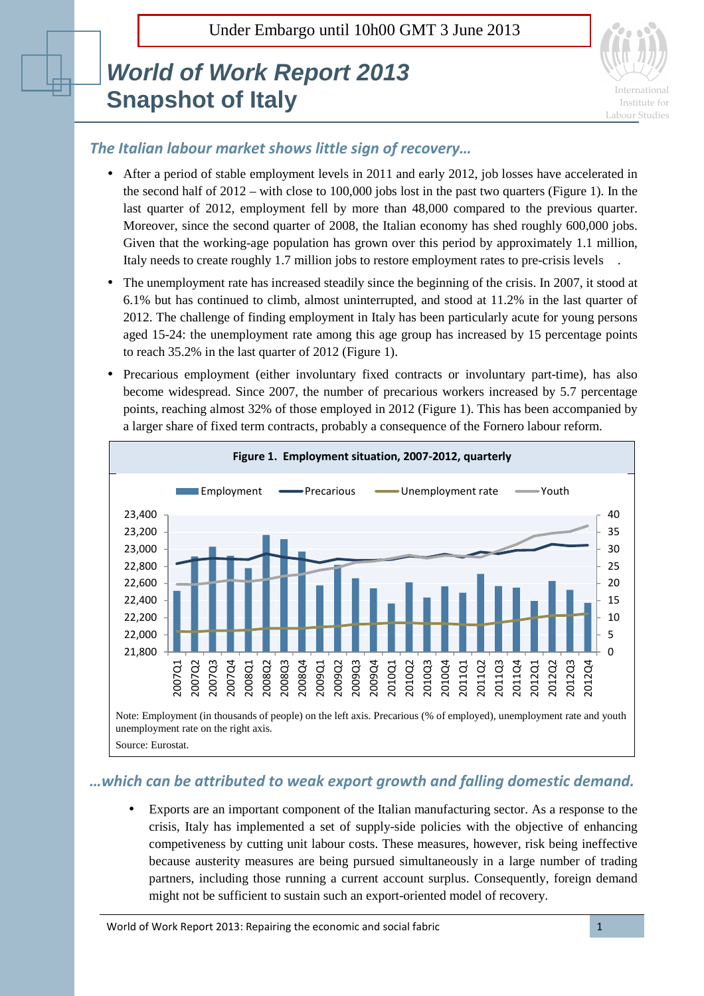Under Embargo until 10h00 GMT 3 June 2013

## **World of Work Report 2013 Snapshot of Italy**



## *The Italian labour market shows little sign of recovery…*

- After a period of stable employment levels in 2011 and early 2012, job losses have accelerated in the second half of 2012 – with close to 100,000 jobs lost in the past two quarters (Figure 1). In the last quarter of 2012, employment fell by more than 48,000 compared to the previous quarter. Moreover, since the second quarter of 2008, the Italian economy has shed roughly 600,000 jobs. Given that the working-age population has grown over this period by approximately 1.1 million, Italy needs to create roughly 1.7 million jobs to restore employment rates to pre-crisis levels .
- The unemployment rate has increased steadily since the beginning of the crisis. In 2007, it stood at 6.1% but has continued to climb, almost uninterrupted, and stood at 11.2% in the last quarter of 2012. The challenge of finding employment in Italy has been particularly acute for young persons aged 15-24: the unemployment rate among this age group has increased by 15 percentage points to reach 35.2% in the last quarter of 2012 (Figure 1).
- Precarious employment (either involuntary fixed contracts or involuntary part-time), has also become widespread. Since 2007, the number of precarious workers increased by 5.7 percentage points, reaching almost 32% of those employed in 2012 (Figure 1). This has been accompanied by a larger share of fixed term contracts, probably a consequence of the Fornero labour reform.



## *…which can be attributed to weak export growth and falling domestic demand.*

• Exports are an important component of the Italian manufacturing sector. As a response to the crisis, Italy has implemented a set of supply-side policies with the objective of enhancing competiveness by cutting unit labour costs. These measures, however, risk being ineffective because austerity measures are being pursued simultaneously in a large number of trading partners, including those running a current account surplus. Consequently, foreign demand might not be sufficient to sustain such an export-oriented model of recovery.